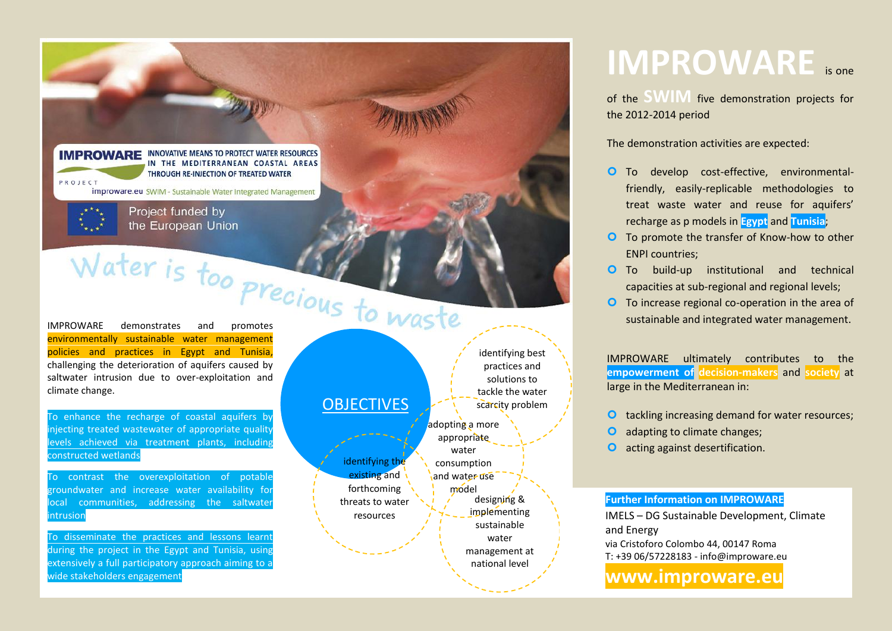

To disseminate the practices and lessons learnt during the project in the Egypt and Tunisia, using extensively a full participatory approach aiming to a

wide stakeholders engagement

Egypt and Tunisia:

water management at national level and in the ENPI region

# **IMPROWARE** is one

of the **SWIM** five demonstration projects for the 2012-2014 period

The demonstration activities are expected:

- To develop cost-effective, environmentalfriendly, easily-replicable methodologies to treat waste water and reuse for aquifers' recharge as p models in **Egypt** and **Tunisia**;
- **O** To promote the transfer of Know-how to other ENPI countries;
- **O** To build-up institutional and technical capacities at sub-regional and regional levels;
- To increase regional co-operation in the area of sustainable and integrated water management.

IMPROWARE ultimately contributes to the **empowerment of decision-makers** and **society** at large in the Mediterranean in:

- **O** tackling increasing demand for water resources;
- **O** adapting to climate changes;
- **O** acting against desertification.

#### **Further Information on IMPROWARE**

IMELS – DG Sustainable Development, Climate and Energy via Cristoforo Colombo 44, 00147 Roma T: +39 06/57228183 - info@improware.eu

### **www.improware.eu**